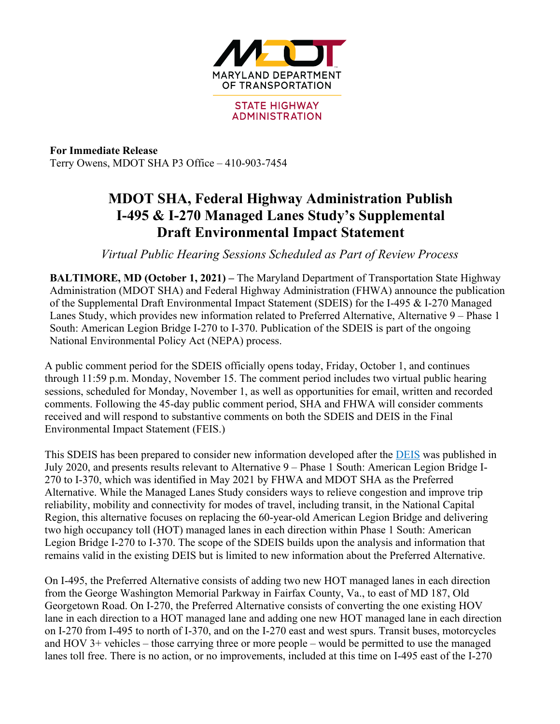

**For Immediate Release** Terry Owens, MDOT SHA P3 Office – 410-903-7454

## **MDOT SHA, Federal Highway Administration Publish I-495 & I-270 Managed Lanes Study's Supplemental Draft Environmental Impact Statement**

*Virtual Public Hearing Sessions Scheduled as Part of Review Process*

**BALTIMORE, MD (October 1, 2021) –** The Maryland Department of Transportation State Highway Administration (MDOT SHA) and Federal Highway Administration (FHWA) announce the publication of the Supplemental Draft Environmental Impact Statement (SDEIS) for the I-495 & I-270 Managed Lanes Study, which provides new information related to Preferred Alternative, Alternative 9 – Phase 1 South: American Legion Bridge I-270 to I-370. Publication of the SDEIS is part of the ongoing National Environmental Policy Act (NEPA) process.

A public comment period for the SDEIS officially opens today, Friday, October 1, and continues through 11:59 p.m. Monday, November 15. The comment period includes two virtual public hearing sessions, scheduled for Monday, November 1, as well as opportunities for email, written and recorded comments. Following the 45-day public comment period, SHA and FHWA will consider comments received and will respond to substantive comments on both the SDEIS and DEIS in the Final Environmental Impact Statement (FEIS.)

This SDEIS has been prepared to consider new information developed after the DEIS was published in July 2020, and presents results relevant to Alternative 9 – Phase 1 South: American Legion Bridge I-270 to I-370, which was identified in May 2021 by FHWA and MDOT SHA as the Preferred Alternative. While the Managed Lanes Study considers ways to relieve congestion and improve trip reliability, mobility and connectivity for modes of travel, including transit, in the National Capital Region, this alternative focuses on replacing the 60-year-old American Legion Bridge and delivering two high occupancy toll (HOT) managed lanes in each direction within Phase 1 South: American Legion Bridge I-270 to I-370. The scope of the SDEIS builds upon the analysis and information that remains valid in the existing DEIS but is limited to new information about the Preferred Alternative.

On I-495, the Preferred Alternative consists of adding two new HOT managed lanes in each direction from the George Washington Memorial Parkway in Fairfax County, Va., to east of MD 187, Old Georgetown Road. On I-270, the Preferred Alternative consists of converting the one existing HOV lane in each direction to a HOT managed lane and adding one new HOT managed lane in each direction on I-270 from I-495 to north of I-370, and on the I-270 east and west spurs. Transit buses, motorcycles and HOV 3+ vehicles – those carrying three or more people – would be permitted to use the managed lanes toll free. There is no action, or no improvements, included at this time on I-495 east of the I-270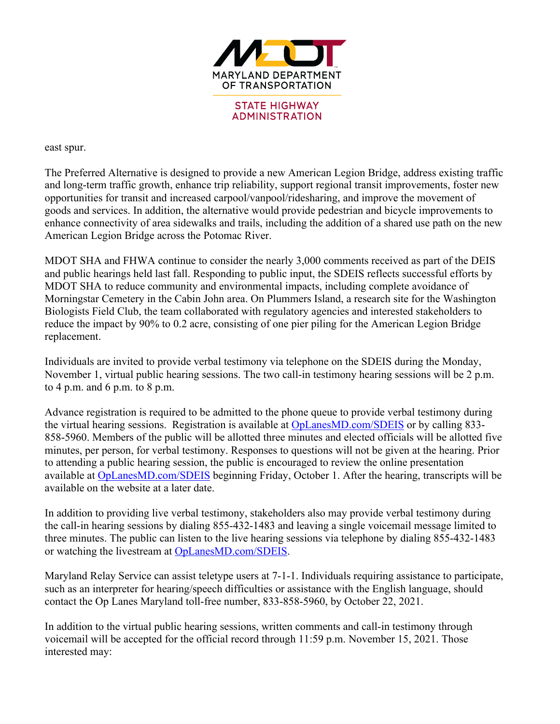

## east spur.

The Preferred Alternative is designed to provide a new American Legion Bridge, address existing traffic and long-term traffic growth, enhance trip reliability, support regional transit improvements, foster new opportunities for transit and increased carpool/vanpool/ridesharing, and improve the movement of goods and services. In addition, the alternative would provide pedestrian and bicycle improvements to enhance connectivity of area sidewalks and trails, including the addition of a shared use path on the new American Legion Bridge across the Potomac River.

MDOT SHA and FHWA continue to consider the nearly 3,000 comments received as part of the DEIS and public hearings held last fall. Responding to public input, the SDEIS reflects successful efforts by MDOT SHA to reduce community and environmental impacts, including complete avoidance of Morningstar Cemetery in the Cabin John area. On Plummers Island, a research site for the Washington Biologists Field Club, the team collaborated with regulatory agencies and interested stakeholders to reduce the impact by 90% to 0.2 acre, consisting of one pier piling for the American Legion Bridge replacement.

Individuals are invited to provide verbal testimony via telephone on the SDEIS during the Monday, November 1, virtual public hearing sessions. The two call-in testimony hearing sessions will be 2 p.m. to 4 p.m. and 6 p.m. to 8 p.m.

Advance registration is required to be admitted to the phone queue to provide verbal testimony during the virtual hearing sessions. Registration is available at OpLanesMD.com/SDEIS or by calling 833- 858-5960. Members of the public will be allotted three minutes and elected officials will be allotted five minutes, per person, for verbal testimony. Responses to questions will not be given at the hearing. Prior to attending a public hearing session, the public is encouraged to review the online presentation available at OpLanesMD.com/SDEIS beginning Friday, October 1. After the hearing, transcripts will be available on the website at a later date.

In addition to providing live verbal testimony, stakeholders also may provide verbal testimony during the call-in hearing sessions by dialing 855-432-1483 and leaving a single voicemail message limited to three minutes. The public can listen to the live hearing sessions via telephone by dialing 855-432-1483 or watching the livestream at OpLanesMD.com/SDEIS.

Maryland Relay Service can assist teletype users at 7-1-1. Individuals requiring assistance to participate, such as an interpreter for hearing/speech difficulties or assistance with the English language, should contact the Op Lanes Maryland toll-free number, 833-858-5960, by October 22, 2021.

In addition to the virtual public hearing sessions, written comments and call-in testimony through voicemail will be accepted for the official record through 11:59 p.m. November 15, 2021. Those interested may: